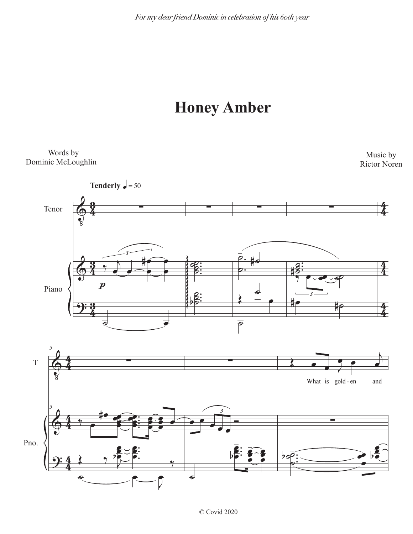## **Honey Amber**

 Words by Words by Music by Music by Music by Music by Music by Music by Music by All and Music by Rictor Nore Rictor Nore Rictor Nore Rictor Nore Rictor Nore Rictor Nore Rictor Nore Rictor Nore Rictor Nore Rictor Nore Rictor Nore R

Rictor Noren

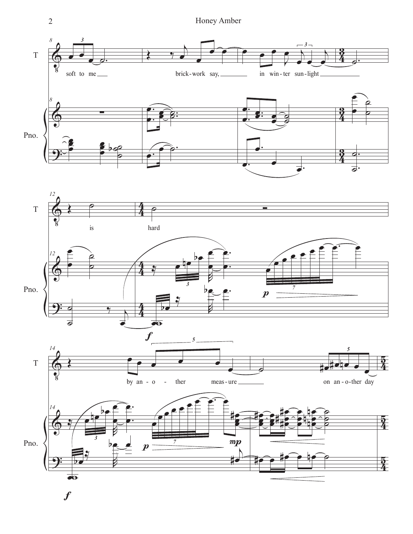



f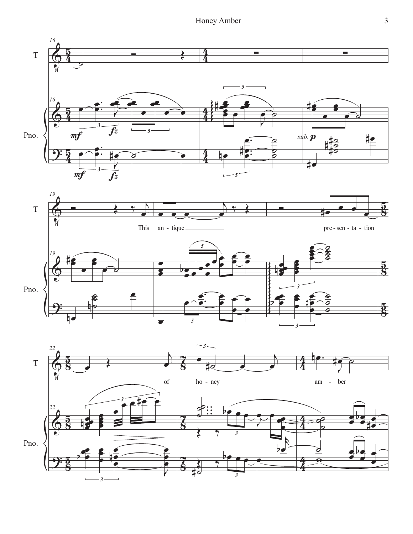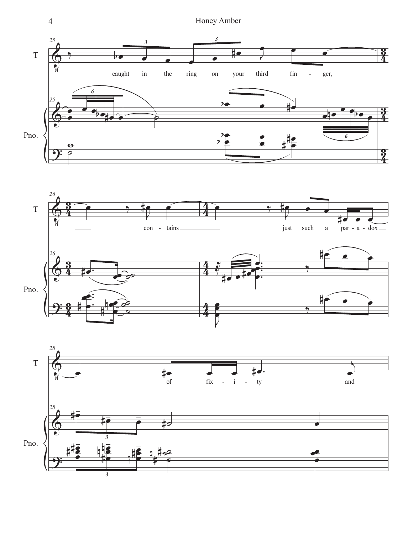





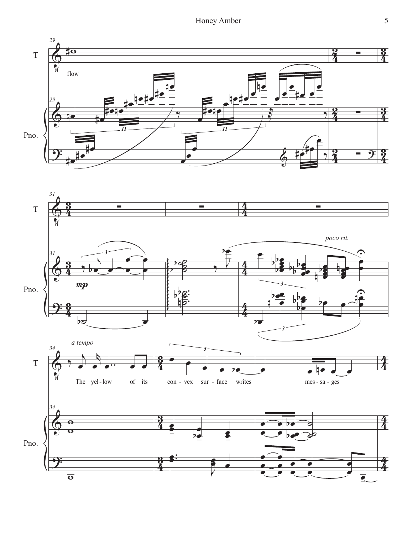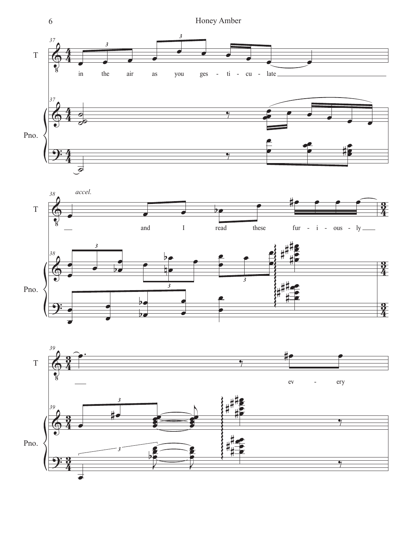



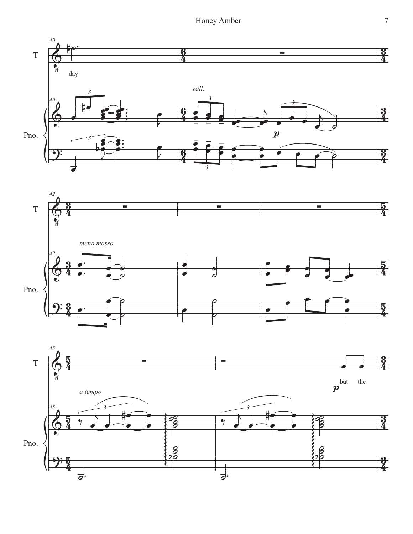